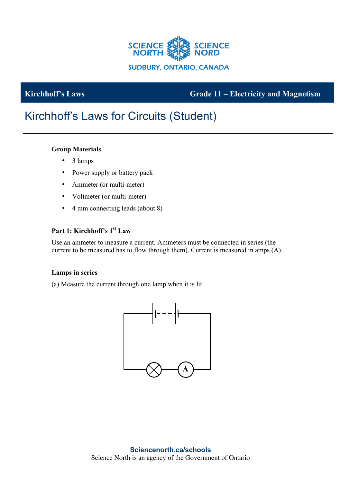

## **Kirchhoff's Laws Grade 11 – Electricity and Magnetism**

# Kirchhoff's Laws for Circuits (Student)

#### **Group Materials**

- 3 lamps
- Power supply or battery pack
- Ammeter (or multi-meter)
- Voltmeter (or multi-meter)
- 4 mm connecting leads (about 8)

### **Part 1: Kirchhoff's 1st Law**

Use an ammeter to measure a current. Ammeters must be connected in series (the current to be measured has to flow through them). Current is measured in amps (A).

#### **Lamps in series**

(a) Measure the current through one lamp when it is lit.

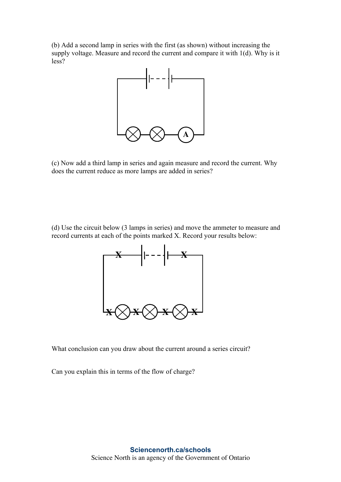(b) Add a second lamp in series with the first (as shown) without increasing the supply voltage. Measure and record the current and compare it with 1(d). Why is it less?



(c) Now add a third lamp in series and again measure and record the current. Why does the current reduce as more lamps are added in series?

(d) Use the circuit below (3 lamps in series) and move the ammeter to measure and record currents at each of the points marked X. Record your results below:



What conclusion can you draw about the current around a series circuit?

Can you explain this in terms of the flow of charge?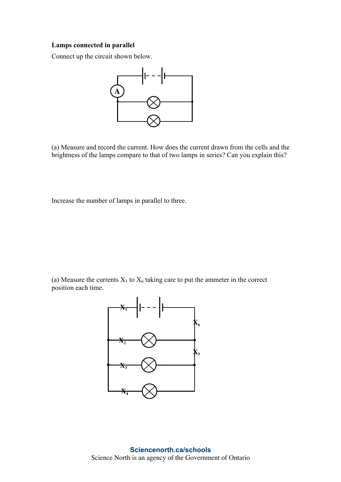#### **Lamps connected in parallel**

Connect up the circuit shown below.



(a) Measure and record the current. How does the current drawn from the cells and the brightness of the lamps compare to that of two lamps in series? Can you explain this?

Increase the number of lamps in parallel to three.

(a) Measure the currents  $X_1$  to  $X_6$  taking care to put the ammeter in the correct position each time.

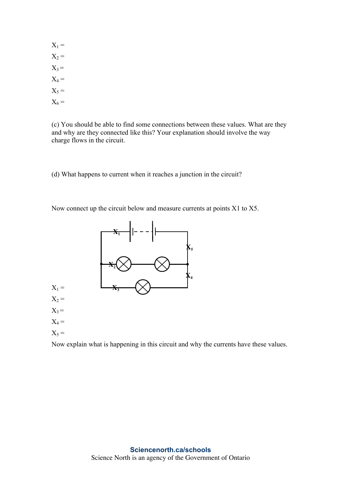$X_1 =$  $X_2 =$  $X_3 =$  $X_4 =$  $X_5 =$  $X_6 =$ 

(c) You should be able to find some connections between these values. What are they and why are they connected like this? Your explanation should involve the way charge flows in the circuit.

(d) What happens to current when it reaches a junction in the circuit?

Now connect up the circuit below and measure currents at points X1 to X5.



Now explain what is happening in this circuit and why the currents have these values.